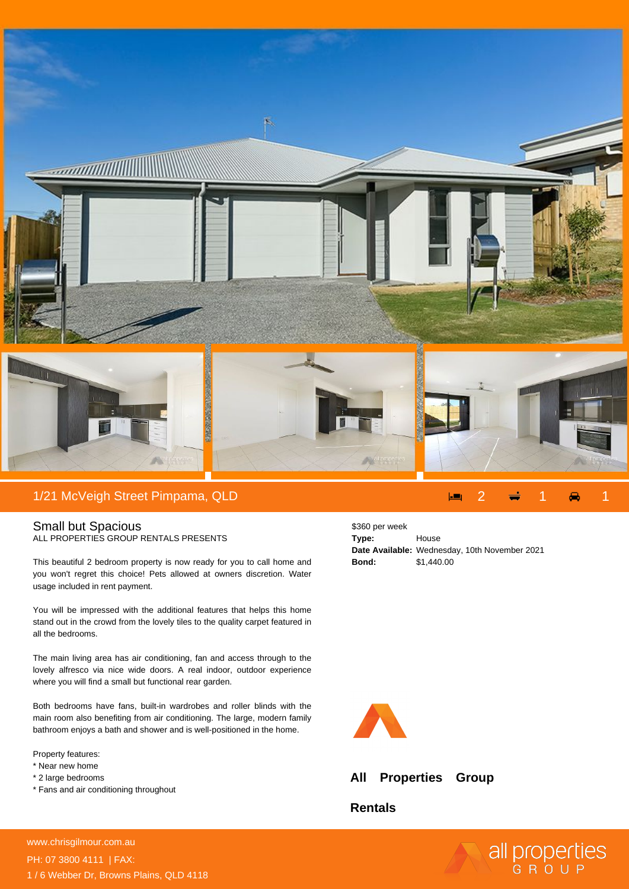

## Small but Spacious ALL PROPERTIES GROUP RENTALS PRESENTS

This beautiful 2 bedroom property is now ready for you to call home and you won't regret this choice! Pets allowed at owners discretion. Water usage included in rent payment.

You will be impressed with the additional features that helps this home stand out in the crowd from the lovely tiles to the quality carpet featured in all the bedrooms.

The main living area has air conditioning, fan and access through to the lovely alfresco via nice wide doors. A real indoor, outdoor experience where you will find a small but functional rear garden.

Both bedrooms have fans, built-in wardrobes and roller blinds with the main room also benefiting from air conditioning. The large, modern family bathroom enjoys a bath and shower and is well-positioned in the home.

Property features:

- \* Near new home
- \* 2 large bedrooms
- \* Fans and air conditioning throughout

\$360 per week **Type:** House **Date Available:** Wednesday, 10th November 2021 **Bond:** \$1,440.00



**All Properties Group**

**Rentals**

all properties

**For more details please visit** www.chrisgilmour.com.au/628209899898<br>www.chrisgilmour.com.au PH: 07 3800 4111 | FAX: 1 / 6 Webber Dr, Browns Plains, QLD 4118